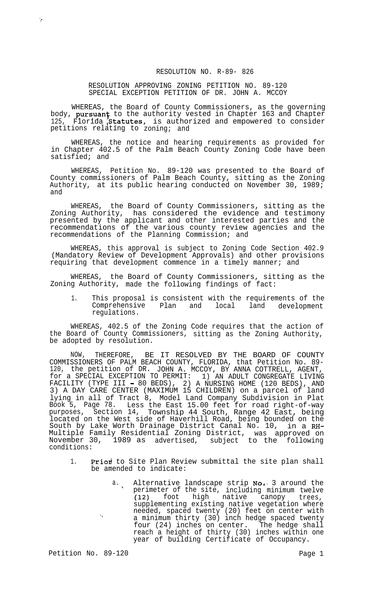## RESOLUTION NO. R-89- 826

## RESOLUTION APPROVING ZONING PETITION NO. 89-120 SPECIAL EXCEPTION PETITION OF DR. JOHN A. MCCOY

WHEREAS, the Board of County Commissioners, as the governing body, pursuant to the authority vested in Chapter 163 and Chapter 125, Florida Statutes, is authorized and empowered to consider petitions relating to zoning; and

WHEREAS, the notice and hearing requirements as provided for in Chapter 402.5 of the Palm Beach County Zoning Code have been satisfied; and

WHEREAS, Petition No. 89-120 was presented to the Board of County commissioners of Palm Beach County, sitting as the Zoning Authority, at its public hearing conducted on November 30, 1989; and

WHEREAS, the Board of County Commissioners, sitting as the Zoning Authority, has considered the evidence and testimony presented by the applicant and other interested parties and the recommendations of the various county review agencies and the recommendations of the Planning Commission; and

WHEREAS, this approval is subject to Zoning Code Section 402.9 (Mandatory Review of Development Approvals) and other provisions requiring that development commence in a timely manner; and

WHEREAS, the Board of County Commissioners, sitting as the Zoning Authority, made the following findings of fact:

1. This proposal is consistent with the requirements of the Comprehensive Plan and local land development regulations.

WHEREAS, 402.5 of the Zoning Code requires that the action of the Board of County Commissioners, sitting as the Zoning Authority, be adopted by resolution.

NOW, THEREFORE, BE IT RESOLVED BY THE BOARD OF COUNTY COMMISSIONERS OF PALM BEACH COUNTY, FLORIDA, that Petition No. 89- 120, the petition of DR. JOHN A. MCCOY, BY ANNA COTTRELL, AGENT, for a SPECIAL EXCEPTION TO PERMIT: 1) AN ADULT CONGREGATE LIVING FACILITY (TYPE III - 80 BEDS), 2) A NURSING HOME (120 BEDS), AND 3) A DAY CARE CENTER (MAXIMUM 15 CHILDREN) on a parcel of land lying in all of Tract 8, Model Land Company Subdivision in Plat Book 5, Page 78. Less the East 15.00 feet for road right-of-way purposes, Section 14, Township 44 South, Range 42 East, being located on the West side of Haverhill Road, being bounded on the South by Lake Worth Drainage District Canal No. 10, in a RH-Multiple Family Residential Zoning District, was approved on November 30, 1989 as advertised, subject to the following conditions:

- 1. Prior to Site Plan Review submittal the site plan shall be amended to indicate:
	- a. Alternative landscape strip  $No.$  3 around the perimeter of the site, including minimum twelve (12) foot high native canopy trees, supplementing existing native vegetation where needed, spaced twenty (20) feet on center with '<br>A minimum thirty (30) inch hedge spaced twenty' four (24) inches on center. The hedge shall reach a height of thirty (30) inches within one year of building Certificate of Occupancy.

Petition No. 89-120 **Page 1** Page 1

 $\mathcal{L}_{\mathcal{F}}$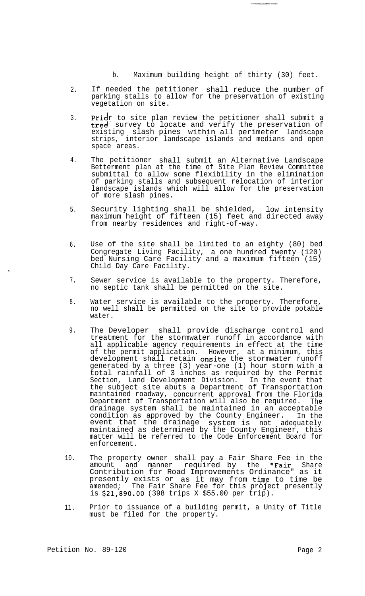b. Maximum building height of thirty (30) feet.

- 2. If needed the petitioner shall reduce the number of parking stalls to allow for the preservation of existing vegetation on site.
- 3.  $\mathop{\mathtt{Prid}}\nolimits_{\mathcal I}$  to site plan review the petitioner shall submit a  $\mathsf{tree}^!$  survey to locate and verify the preservation of existing slash pines within all perimeter landscape strips, interior landscape islands and medians and open space areas.
- 4. The petitioner shall submit an Alternative Landscape Betterment plan at the time of Site Plan Review Committee submittal to allow some flexibility in the elimination of parking stalls and subsequent relocation of interior landscape islands which will allow for the preservation of more slash pines.
- 5. Security lighting shall be shielded, low intensity maximum height of fifteen (15) feet and directed awa $\rm \bar{y}$ from nearby residences and right-of-way.
- 6. Use of the site shall be limited to an eighty (80) bed Congregate Living Facility, a one hundred twenty (120) bed Nursing Care Facility and a maximum fifteen (15) Child Day Care Facility.
- 7. Sewer service is available to the property. Therefore, no septic tank shall be permitted on the site.
- 8. Water service is available to the property. Therefore, no well shall be permitted on the site to provide potable water.
- 9. The Developer shall provide discharge control and treatment for the stormwater runoff in accordance with all applicable agency requirements in effect at the time of the permit application. However, at a minimum, this development shall retain onsite the stormwater runoff generated by a three (3) year-one (1) hour storm with a total rainfall of 3 inches as required by the Permit Section, Land Development Division. In the event that the subject site abuts a Department of Transportation maintained roadway, concurrent approval from the Florida Department of Transportation will also be required. The drainage system shall be maintained in an acceptable condition as approved by the County Engineer. In the event that the drainage system is not adequately maintained as determined by the County Engineer, this matter will be referred to the Code Enforcement Board for enforcement.
- 10. The property owner shall pay a Fair Share Fee in the amount and manner required by the "Fair Share Contribution for Road Improvements Ordinance" as it presently exists or as it may from time to time be amended; The Fair Share Fee for this project presently is  $$21,890.00$  (398 trips X  $$55.00$  per trip).
- 11. Prior to issuance of a building permit, a Unity of Title must be filed for the property.